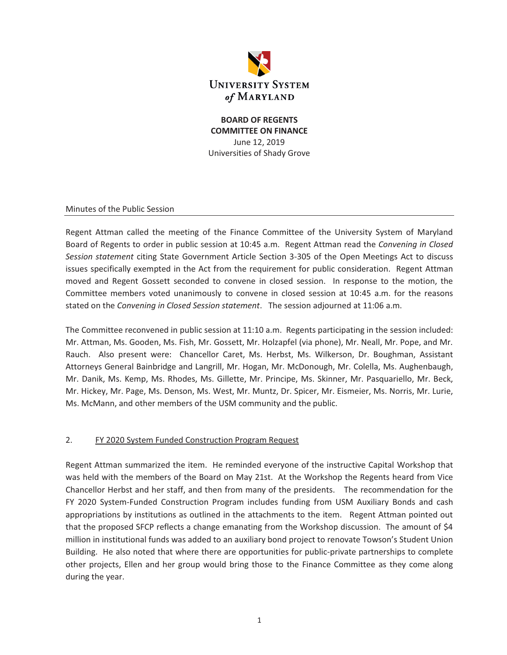

### **BOARD OF REGENTS COMMITTEE ON FINANCE**  June 12, 2019 Universities of Shady Grove

#### Minutes of the Public Session

Regent Attman called the meeting of the Finance Committee of the University System of Maryland Board of Regents to order in public session at 10:45 a.m. Regent Attman read the *Convening in Closed Session statement* citing State Government Article Section 3-305 of the Open Meetings Act to discuss issues specifically exempted in the Act from the requirement for public consideration. Regent Attman moved and Regent Gossett seconded to convene in closed session. In response to the motion, the Committee members voted unanimously to convene in closed session at 10:45 a.m. for the reasons stated on the *Convening in Closed Session statement*. The session adjourned at 11:06 a.m.

The Committee reconvened in public session at 11:10 a.m. Regents participating in the session included: Mr. Attman, Ms. Gooden, Ms. Fish, Mr. Gossett, Mr. Holzapfel (via phone), Mr. Neall, Mr. Pope, and Mr. Rauch. Also present were: Chancellor Caret, Ms. Herbst, Ms. Wilkerson, Dr. Boughman, Assistant Attorneys General Bainbridge and Langrill, Mr. Hogan, Mr. McDonough, Mr. Colella, Ms. Aughenbaugh, Mr. Danik, Ms. Kemp, Ms. Rhodes, Ms. Gillette, Mr. Principe, Ms. Skinner, Mr. Pasquariello, Mr. Beck, Mr. Hickey, Mr. Page, Ms. Denson, Ms. West, Mr. Muntz, Dr. Spicer, Mr. Eismeier, Ms. Norris, Mr. Lurie, Ms. McMann, and other members of the USM community and the public.

#### 2. FY 2020 System Funded Construction Program Request

Regent Attman summarized the item. He reminded everyone of the instructive Capital Workshop that was held with the members of the Board on May 21st. At the Workshop the Regents heard from Vice Chancellor Herbst and her staff, and then from many of the presidents. The recommendation for the FY 2020 System-Funded Construction Program includes funding from USM Auxiliary Bonds and cash appropriations by institutions as outlined in the attachments to the item. Regent Attman pointed out that the proposed SFCP reflects a change emanating from the Workshop discussion. The amount of \$4 million in institutional funds was added to an auxiliary bond project to renovate Towson's Student Union Building. He also noted that where there are opportunities for public-private partnerships to complete other projects, Ellen and her group would bring those to the Finance Committee as they come along during the year.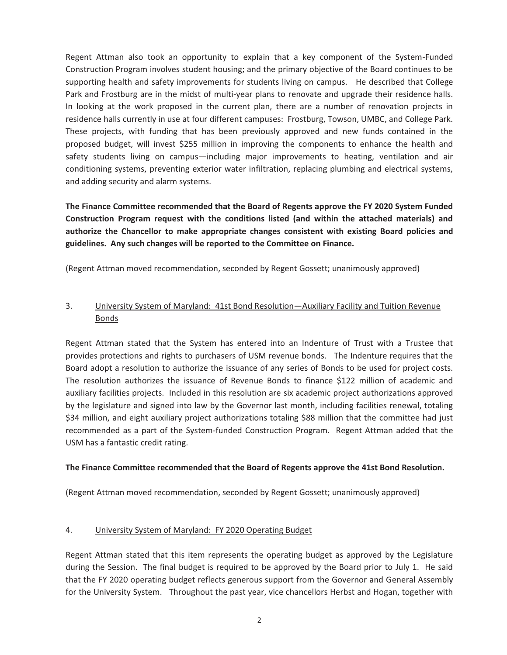Regent Attman also took an opportunity to explain that a key component of the System-Funded Construction Program involves student housing; and the primary objective of the Board continues to be supporting health and safety improvements for students living on campus. He described that College Park and Frostburg are in the midst of multi-year plans to renovate and upgrade their residence halls. In looking at the work proposed in the current plan, there are a number of renovation projects in residence halls currently in use at four different campuses: Frostburg, Towson, UMBC, and College Park. These projects, with funding that has been previously approved and new funds contained in the proposed budget, will invest \$255 million in improving the components to enhance the health and safety students living on campus—including major improvements to heating, ventilation and air conditioning systems, preventing exterior water infiltration, replacing plumbing and electrical systems, and adding security and alarm systems.

**The Finance Committee recommended that the Board of Regents approve the FY 2020 System Funded Construction Program request with the conditions listed (and within the attached materials) and authorize the Chancellor to make appropriate changes consistent with existing Board policies and guidelines. Any such changes will be reported to the Committee on Finance.** 

(Regent Attman moved recommendation, seconded by Regent Gossett; unanimously approved)

## 3. University System of Maryland: 41st Bond Resolution—Auxiliary Facility and Tuition Revenue Bonds

Regent Attman stated that the System has entered into an Indenture of Trust with a Trustee that provides protections and rights to purchasers of USM revenue bonds. The Indenture requires that the Board adopt a resolution to authorize the issuance of any series of Bonds to be used for project costs. The resolution authorizes the issuance of Revenue Bonds to finance \$122 million of academic and auxiliary facilities projects. Included in this resolution are six academic project authorizations approved by the legislature and signed into law by the Governor last month, including facilities renewal, totaling \$34 million, and eight auxiliary project authorizations totaling \$88 million that the committee had just recommended as a part of the System-funded Construction Program. Regent Attman added that the USM has a fantastic credit rating.

#### **The Finance Committee recommended that the Board of Regents approve the 41st Bond Resolution.**

(Regent Attman moved recommendation, seconded by Regent Gossett; unanimously approved)

### 4. University System of Maryland: FY 2020 Operating Budget

Regent Attman stated that this item represents the operating budget as approved by the Legislature during the Session. The final budget is required to be approved by the Board prior to July 1. He said that the FY 2020 operating budget reflects generous support from the Governor and General Assembly for the University System. Throughout the past year, vice chancellors Herbst and Hogan, together with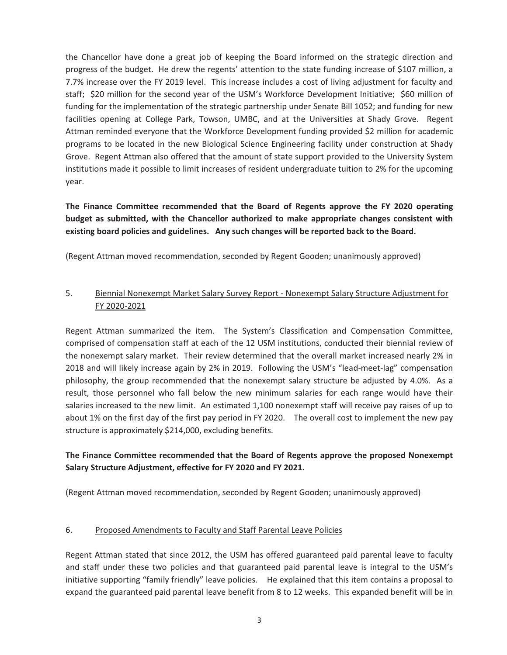the Chancellor have done a great job of keeping the Board informed on the strategic direction and progress of the budget. He drew the regents' attention to the state funding increase of \$107 million, a 7.7% increase over the FY 2019 level. This increase includes a cost of living adjustment for faculty and staff; \$20 million for the second year of the USM's Workforce Development Initiative; \$60 million of funding for the implementation of the strategic partnership under Senate Bill 1052; and funding for new facilities opening at College Park, Towson, UMBC, and at the Universities at Shady Grove. Regent Attman reminded everyone that the Workforce Development funding provided \$2 million for academic programs to be located in the new Biological Science Engineering facility under construction at Shady Grove. Regent Attman also offered that the amount of state support provided to the University System institutions made it possible to limit increases of resident undergraduate tuition to 2% for the upcoming year.

**The Finance Committee recommended that the Board of Regents approve the FY 2020 operating budget as submitted, with the Chancellor authorized to make appropriate changes consistent with existing board policies and guidelines. Any such changes will be reported back to the Board.** 

(Regent Attman moved recommendation, seconded by Regent Gooden; unanimously approved)

## 5. Biennial Nonexempt Market Salary Survey Report - Nonexempt Salary Structure Adjustment for FY 2020-2021

Regent Attman summarized the item. The System's Classification and Compensation Committee, comprised of compensation staff at each of the 12 USM institutions, conducted their biennial review of the nonexempt salary market. Their review determined that the overall market increased nearly 2% in 2018 and will likely increase again by 2% in 2019. Following the USM's "lead-meet-lag" compensation philosophy, the group recommended that the nonexempt salary structure be adjusted by 4.0%. As a result, those personnel who fall below the new minimum salaries for each range would have their salaries increased to the new limit. An estimated 1,100 nonexempt staff will receive pay raises of up to about 1% on the first day of the first pay period in FY 2020. The overall cost to implement the new pay structure is approximately \$214,000, excluding benefits.

## **The Finance Committee recommended that the Board of Regents approve the proposed Nonexempt Salary Structure Adjustment, effective for FY 2020 and FY 2021.**

(Regent Attman moved recommendation, seconded by Regent Gooden; unanimously approved)

#### 6. Proposed Amendments to Faculty and Staff Parental Leave Policies

Regent Attman stated that since 2012, the USM has offered guaranteed paid parental leave to faculty and staff under these two policies and that guaranteed paid parental leave is integral to the USM's initiative supporting "family friendly" leave policies. He explained that this item contains a proposal to expand the guaranteed paid parental leave benefit from 8 to 12 weeks. This expanded benefit will be in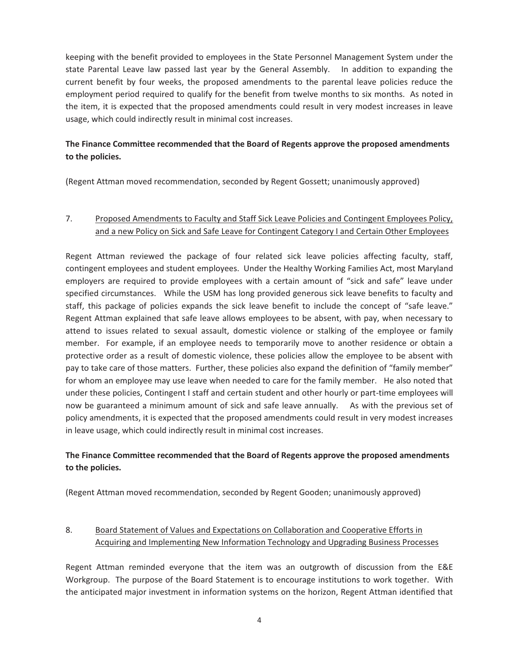keeping with the benefit provided to employees in the State Personnel Management System under the state Parental Leave law passed last year by the General Assembly. In addition to expanding the current benefit by four weeks, the proposed amendments to the parental leave policies reduce the employment period required to qualify for the benefit from twelve months to six months. As noted in the item, it is expected that the proposed amendments could result in very modest increases in leave usage, which could indirectly result in minimal cost increases.

# **The Finance Committee recommended that the Board of Regents approve the proposed amendments to the policies.**

(Regent Attman moved recommendation, seconded by Regent Gossett; unanimously approved)

## 7. Proposed Amendments to Faculty and Staff Sick Leave Policies and Contingent Employees Policy, and a new Policy on Sick and Safe Leave for Contingent Category I and Certain Other Employees

Regent Attman reviewed the package of four related sick leave policies affecting faculty, staff, contingent employees and student employees. Under the Healthy Working Families Act, most Maryland employers are required to provide employees with a certain amount of "sick and safe" leave under specified circumstances. While the USM has long provided generous sick leave benefits to faculty and staff, this package of policies expands the sick leave benefit to include the concept of "safe leave." Regent Attman explained that safe leave allows employees to be absent, with pay, when necessary to attend to issues related to sexual assault, domestic violence or stalking of the employee or family member. For example, if an employee needs to temporarily move to another residence or obtain a protective order as a result of domestic violence, these policies allow the employee to be absent with pay to take care of those matters. Further, these policies also expand the definition of "family member" for whom an employee may use leave when needed to care for the family member. He also noted that under these policies, Contingent I staff and certain student and other hourly or part-time employees will now be guaranteed a minimum amount of sick and safe leave annually. As with the previous set of policy amendments, it is expected that the proposed amendments could result in very modest increases in leave usage, which could indirectly result in minimal cost increases.

## **The Finance Committee recommended that the Board of Regents approve the proposed amendments to the policies.**

(Regent Attman moved recommendation, seconded by Regent Gooden; unanimously approved)

## 8. Board Statement of Values and Expectations on Collaboration and Cooperative Efforts in Acquiring and Implementing New Information Technology and Upgrading Business Processes

Regent Attman reminded everyone that the item was an outgrowth of discussion from the E&E Workgroup. The purpose of the Board Statement is to encourage institutions to work together. With the anticipated major investment in information systems on the horizon, Regent Attman identified that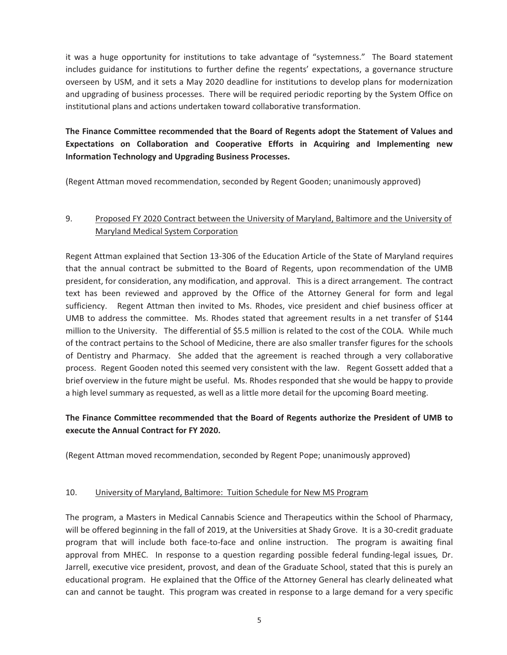it was a huge opportunity for institutions to take advantage of "systemness." The Board statement includes guidance for institutions to further define the regents' expectations, a governance structure overseen by USM, and it sets a May 2020 deadline for institutions to develop plans for modernization and upgrading of business processes. There will be required periodic reporting by the System Office on institutional plans and actions undertaken toward collaborative transformation.

# **The Finance Committee recommended that the Board of Regents adopt the Statement of Values and Expectations on Collaboration and Cooperative Efforts in Acquiring and Implementing new Information Technology and Upgrading Business Processes.**

(Regent Attman moved recommendation, seconded by Regent Gooden; unanimously approved)

# 9. Proposed FY 2020 Contract between the University of Maryland, Baltimore and the University of Maryland Medical System Corporation

Regent Attman explained that Section 13-306 of the Education Article of the State of Maryland requires that the annual contract be submitted to the Board of Regents, upon recommendation of the UMB president, for consideration, any modification, and approval. This is a direct arrangement. The contract text has been reviewed and approved by the Office of the Attorney General for form and legal sufficiency. Regent Attman then invited to Ms. Rhodes, vice president and chief business officer at UMB to address the committee. Ms. Rhodes stated that agreement results in a net transfer of \$144 million to the University. The differential of \$5.5 million is related to the cost of the COLA. While much of the contract pertains to the School of Medicine, there are also smaller transfer figures for the schools of Dentistry and Pharmacy. She added that the agreement is reached through a very collaborative process. Regent Gooden noted this seemed very consistent with the law. Regent Gossett added that a brief overview in the future might be useful. Ms. Rhodes responded that she would be happy to provide a high level summary as requested, as well as a little more detail for the upcoming Board meeting.

# **The Finance Committee recommended that the Board of Regents authorize the President of UMB to execute the Annual Contract for FY 2020.**

(Regent Attman moved recommendation, seconded by Regent Pope; unanimously approved)

#### 10. University of Maryland, Baltimore: Tuition Schedule for New MS Program

The program, a Masters in Medical Cannabis Science and Therapeutics within the School of Pharmacy, will be offered beginning in the fall of 2019, at the Universities at Shady Grove. It is a 30-credit graduate program that will include both face-to-face and online instruction. The program is awaiting final approval from MHEC. In response to a question regarding possible federal funding-legal issues*,* Dr. Jarrell, executive vice president, provost, and dean of the Graduate School, stated that this is purely an educational program. He explained that the Office of the Attorney General has clearly delineated what can and cannot be taught. This program was created in response to a large demand for a very specific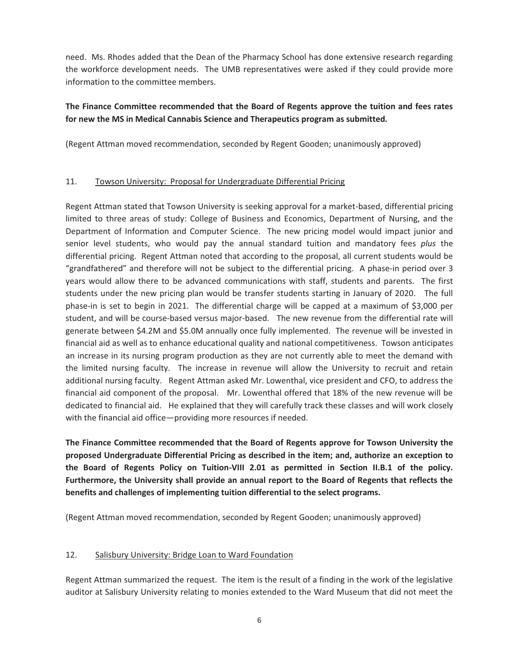need. Ms. Rhodes added that the Dean of the Pharmacy School has done extensive research regarding the workforce development needs. The UMB representatives were asked if they could provide more information to the committee members.

## **The Finance Committee recommended that the Board of Regents approve the tuition and fees rates for new the MS in Medical Cannabis Science and Therapeutics program as submitted.**

(Regent Attman moved recommendation, seconded by Regent Gooden; unanimously approved)

### 11. Towson University: Proposal for Undergraduate Differential Pricing

Regent Attman stated that Towson University is seeking approval for a market-based, differential pricing limited to three areas of study: College of Business and Economics, Department of Nursing, and the Department of Information and Computer Science. The new pricing model would impact junior and senior level students, who would pay the annual standard tuition and mandatory fees *plus* the differential pricing. Regent Attman noted that according to the proposal, all current students would be "grandfathered" and therefore will not be subject to the differential pricing. A phase-in period over 3 years would allow there to be advanced communications with staff, students and parents. The first students under the new pricing plan would be transfer students starting in January of 2020. The full phase-in is set to begin in 2021. The differential charge will be capped at a maximum of \$3,000 per student, and will be course-based versus major-based. The new revenue from the differential rate will generate between \$4.2M and \$5.0M annually once fully implemented. The revenue will be invested in financial aid as well as to enhance educational quality and national competitiveness. Towson anticipates an increase in its nursing program production as they are not currently able to meet the demand with the limited nursing faculty. The increase in revenue will allow the University to recruit and retain additional nursing faculty. Regent Attman asked Mr. Lowenthal, vice president and CFO, to address the financial aid component of the proposal. Mr. Lowenthal offered that 18% of the new revenue will be dedicated to financial aid. He explained that they will carefully track these classes and will work closely with the financial aid office—providing more resources if needed.

**The Finance Committee recommended that the Board of Regents approve for Towson University the proposed Undergraduate Differential Pricing as described in the item; and, authorize an exception to the Board of Regents Policy on Tuition-VIII 2.01 as permitted in Section II.B.1 of the policy. Furthermore, the University shall provide an annual report to the Board of Regents that reflects the benefits and challenges of implementing tuition differential to the select programs.** 

(Regent Attman moved recommendation, seconded by Regent Gooden; unanimously approved)

#### 12. Salisbury University: Bridge Loan to Ward Foundation

Regent Attman summarized the request. The item is the result of a finding in the work of the legislative auditor at Salisbury University relating to monies extended to the Ward Museum that did not meet the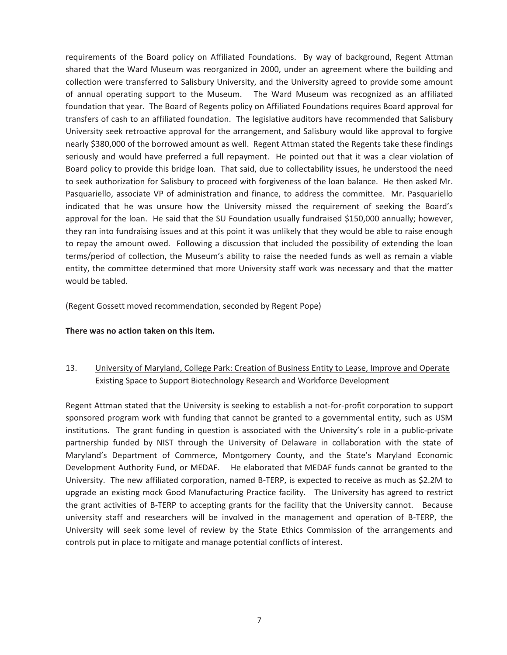requirements of the Board policy on Affiliated Foundations. By way of background, Regent Attman shared that the Ward Museum was reorganized in 2000, under an agreement where the building and collection were transferred to Salisbury University, and the University agreed to provide some amount of annual operating support to the Museum. The Ward Museum was recognized as an affiliated foundation that year. The Board of Regents policy on Affiliated Foundations requires Board approval for transfers of cash to an affiliated foundation. The legislative auditors have recommended that Salisbury University seek retroactive approval for the arrangement, and Salisbury would like approval to forgive nearly \$380,000 of the borrowed amount as well. Regent Attman stated the Regents take these findings seriously and would have preferred a full repayment. He pointed out that it was a clear violation of Board policy to provide this bridge loan. That said, due to collectability issues, he understood the need to seek authorization for Salisbury to proceed with forgiveness of the loan balance. He then asked Mr. Pasquariello, associate VP of administration and finance, to address the committee. Mr. Pasquariello indicated that he was unsure how the University missed the requirement of seeking the Board's approval for the loan. He said that the SU Foundation usually fundraised \$150,000 annually; however, they ran into fundraising issues and at this point it was unlikely that they would be able to raise enough to repay the amount owed. Following a discussion that included the possibility of extending the loan terms/period of collection, the Museum's ability to raise the needed funds as well as remain a viable entity, the committee determined that more University staff work was necessary and that the matter would be tabled.

(Regent Gossett moved recommendation, seconded by Regent Pope)

**There was no action taken on this item.** 

# 13. University of Maryland, College Park: Creation of Business Entity to Lease, Improve and Operate Existing Space to Support Biotechnology Research and Workforce Development

Regent Attman stated that the University is seeking to establish a not-for-profit corporation to support sponsored program work with funding that cannot be granted to a governmental entity, such as USM institutions. The grant funding in question is associated with the University's role in a public-private partnership funded by NIST through the University of Delaware in collaboration with the state of Maryland's Department of Commerce, Montgomery County, and the State's Maryland Economic Development Authority Fund, or MEDAF. He elaborated that MEDAF funds cannot be granted to the University. The new affiliated corporation, named B-TERP, is expected to receive as much as \$2.2M to upgrade an existing mock Good Manufacturing Practice facility. The University has agreed to restrict the grant activities of B-TERP to accepting grants for the facility that the University cannot. Because university staff and researchers will be involved in the management and operation of B-TERP, the University will seek some level of review by the State Ethics Commission of the arrangements and controls put in place to mitigate and manage potential conflicts of interest.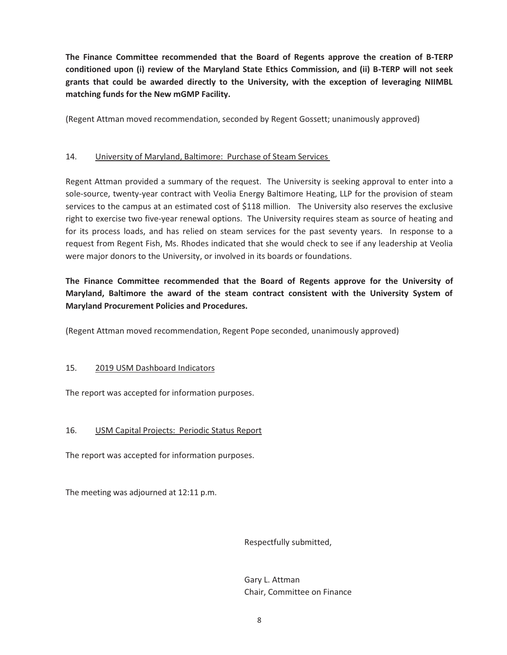**The Finance Committee recommended that the Board of Regents approve the creation of B-TERP conditioned upon (i) review of the Maryland State Ethics Commission, and (ii) B-TERP will not seek grants that could be awarded directly to the University, with the exception of leveraging NIIMBL matching funds for the New mGMP Facility.** 

(Regent Attman moved recommendation, seconded by Regent Gossett; unanimously approved)

### 14. University of Maryland, Baltimore: Purchase of Steam Services

Regent Attman provided a summary of the request. The University is seeking approval to enter into a sole-source, twenty-year contract with Veolia Energy Baltimore Heating, LLP for the provision of steam services to the campus at an estimated cost of \$118 million. The University also reserves the exclusive right to exercise two five-year renewal options. The University requires steam as source of heating and for its process loads, and has relied on steam services for the past seventy years. In response to a request from Regent Fish, Ms. Rhodes indicated that she would check to see if any leadership at Veolia were major donors to the University, or involved in its boards or foundations.

# **The Finance Committee recommended that the Board of Regents approve for the University of Maryland, Baltimore the award of the steam contract consistent with the University System of Maryland Procurement Policies and Procedures.**

(Regent Attman moved recommendation, Regent Pope seconded, unanimously approved)

### 15. 2019 USM Dashboard Indicators

The report was accepted for information purposes.

### 16. USM Capital Projects: Periodic Status Report

The report was accepted for information purposes.

The meeting was adjourned at 12:11 p.m.

Respectfully submitted,

 Gary L. Attman Chair, Committee on Finance